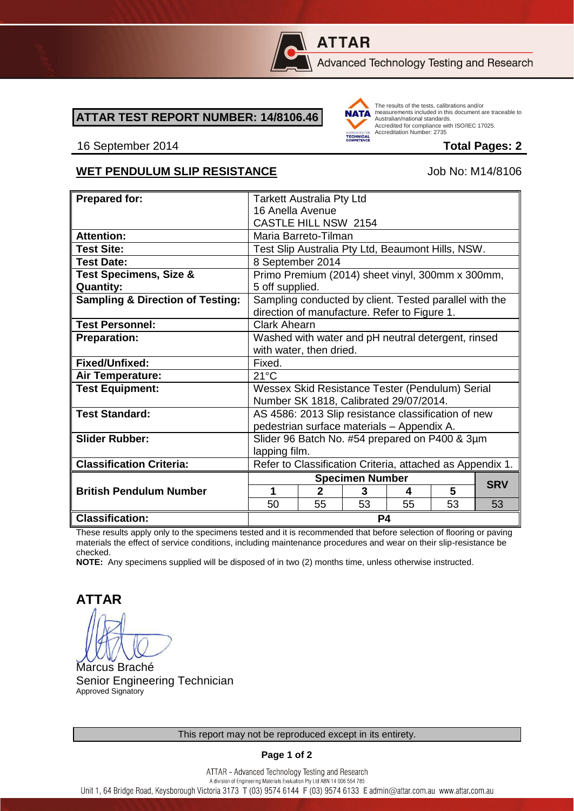

# **ATTAR**

Advanced Technology Testing and Research

## **ATTAR TEST REPORT NUMBER: 14/8106.46**



The results of the tests, calibrations and/or measurements included in this document are traceable to Australian/national standards. Adstrational Miditional Standards.<br>Accredited for compliance with ISO/IEC 17025. Accreditation Number: 2735

#### 16 September 2014 **Total Pages: 2**

## WET PENDULUM SLIP RESISTANCE Job No: M14/8106

| <b>Prepared for:</b>                        | <b>Tarkett Australia Pty Ltd</b>                                                                       |              |    |    |    |            |
|---------------------------------------------|--------------------------------------------------------------------------------------------------------|--------------|----|----|----|------------|
|                                             | 16 Anella Avenue                                                                                       |              |    |    |    |            |
|                                             | <b>CASTLE HILL NSW 2154</b>                                                                            |              |    |    |    |            |
| <b>Attention:</b>                           | Maria Barreto-Tilman                                                                                   |              |    |    |    |            |
| <b>Test Site:</b>                           | Test Slip Australia Pty Ltd, Beaumont Hills, NSW.                                                      |              |    |    |    |            |
| <b>Test Date:</b>                           | 8 September 2014                                                                                       |              |    |    |    |            |
| <b>Test Specimens, Size &amp;</b>           | Primo Premium (2014) sheet vinyl, 300mm x 300mm,                                                       |              |    |    |    |            |
| <b>Quantity:</b>                            | 5 off supplied.                                                                                        |              |    |    |    |            |
| <b>Sampling &amp; Direction of Testing:</b> | Sampling conducted by client. Tested parallel with the<br>direction of manufacture. Refer to Figure 1. |              |    |    |    |            |
| <b>Test Personnel:</b>                      | <b>Clark Ahearn</b>                                                                                    |              |    |    |    |            |
| <b>Preparation:</b>                         | Washed with water and pH neutral detergent, rinsed                                                     |              |    |    |    |            |
|                                             | with water, then dried.                                                                                |              |    |    |    |            |
| Fixed/Unfixed:                              | Fixed.                                                                                                 |              |    |    |    |            |
| Air Temperature:                            | $21^{\circ}$ C                                                                                         |              |    |    |    |            |
| <b>Test Equipment:</b>                      | Wessex Skid Resistance Tester (Pendulum) Serial                                                        |              |    |    |    |            |
|                                             | Number SK 1818, Calibrated 29/07/2014.                                                                 |              |    |    |    |            |
| <b>Test Standard:</b>                       | AS 4586: 2013 Slip resistance classification of new                                                    |              |    |    |    |            |
|                                             | pedestrian surface materials - Appendix A.                                                             |              |    |    |    |            |
| <b>Slider Rubber:</b>                       | Slider 96 Batch No. #54 prepared on P400 & 3µm                                                         |              |    |    |    |            |
|                                             | lapping film.                                                                                          |              |    |    |    |            |
| <b>Classification Criteria:</b>             | Refer to Classification Criteria, attached as Appendix 1.                                              |              |    |    |    |            |
|                                             | <b>Specimen Number</b>                                                                                 |              |    |    |    | <b>SRV</b> |
| <b>British Pendulum Number</b>              | 1                                                                                                      | $\mathbf{2}$ | 3  | 4  | 5  |            |
|                                             | 50                                                                                                     | 55           | 53 | 55 | 53 | 53         |
| <b>Classification:</b>                      | P4                                                                                                     |              |    |    |    |            |

These results apply only to the specimens tested and it is recommended that before selection of flooring or paving materials the effect of service conditions, including maintenance procedures and wear on their slip-resistance be checked.

**NOTE:** Any specimens supplied will be disposed of in two (2) months time, unless otherwise instructed.

**ATTAR**

Marcus Braché Senior Engineering Technician Approved Signatory

### **Page 1 of 2**